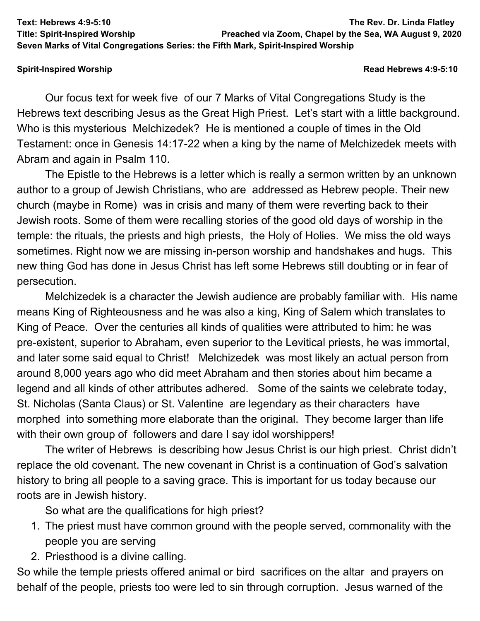**Text: Hebrews 4:9-5:10 The Rev. Dr. Linda Flatley**

**Title: Spirit-Inspired Worship Preached via Zoom, Chapel by the Sea, WA August 9, 2020**

## **Spirit-Inspired Worship Read Hebrews 4:9-5:10**

Our focus text for week five of our 7 Marks of Vital Congregations Study is the Hebrews text describing Jesus as the Great High Priest. Let's start with a little background. Who is this mysterious Melchizedek? He is mentioned a couple of times in the Old Testament: once in Genesis 14:17-22 when a king by the name of Melchizedek meets with Abram and again in Psalm 110.

**Seven Marks of Vital Congregations Series: the Fifth Mark, Spirit-Inspired Worship**

The Epistle to the Hebrews is a letter which is really a sermon written by an unknown author to a group of Jewish Christians, who are addressed as Hebrew people. Their new church (maybe in Rome) was in crisis and many of them were reverting back to their Jewish roots. Some of them were recalling stories of the good old days of worship in the temple: the rituals, the priests and high priests, the Holy of Holies. We miss the old ways sometimes. Right now we are missing in-person worship and handshakes and hugs. This new thing God has done in Jesus Christ has left some Hebrews still doubting or in fear of persecution.

Melchizedek is a character the Jewish audience are probably familiar with. His name means King of Righteousness and he was also a king, King of Salem which translates to King of Peace. Over the centuries all kinds of qualities were attributed to him: he was pre-existent, superior to Abraham, even superior to the Levitical priests, he was immortal, and later some said equal to Christ! Melchizedek was most likely an actual person from around 8,000 years ago who did meet Abraham and then stories about him became a legend and all kinds of other attributes adhered. Some of the saints we celebrate today, St. Nicholas (Santa Claus) or St. Valentine are legendary as their characters have morphed into something more elaborate than the original. They become larger than life with their own group of followers and dare I say idol worshippers!

The writer of Hebrews is describing how Jesus Christ is our high priest. Christ didn't replace the old covenant. The new covenant in Christ is a continuation of God's salvation history to bring all people to a saving grace. This is important for us today because our roots are in Jewish history.

So what are the qualifications for high priest?

- 1. The priest must have common ground with the people served, commonality with the people you are serving
- 2. Priesthood is a divine calling.

So while the temple priests offered animal or bird sacrifices on the altar and prayers on behalf of the people, priests too were led to sin through corruption. Jesus warned of the